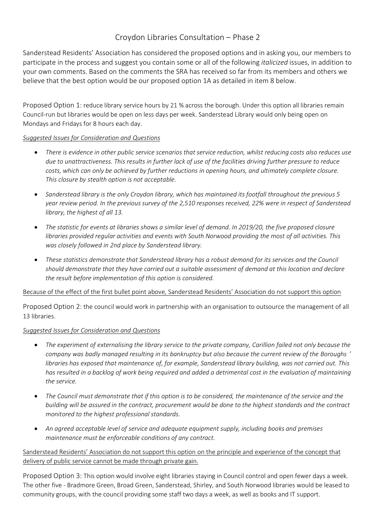# Croydon Libraries Consultation – Phase 2

Sanderstead Residents' Association has considered the proposed options and in asking you, our members to participate in the process and suggest you contain some or all of the following *italicized* issues, in addition to your own comments. Based on the comments the SRA has received so far from its members and others we believe that the best option would be our proposed option 1A as detailed in item 8 below.

Proposed Option 1: reduce library service hours by 21 % across the borough. Under this option all libraries remain Council-run but libraries would be open on less days per week. Sanderstead Library would only being open on Mondays and Fridays for 8 hours each day.

## *Suggested Issues for Consideration and Questions*

- There is evidence in other public service scenarios that service reduction, whilst reducing costs also reduces use due to unattractiveness. This results in further lack of use of the facilities driving further pressure to reduce *costs, which can only be achieved by further reductions in opening hours, and ultimately complete closure. This closure by stealth option is not acceptable.*
- *Sanderstead library is the only Croydon library, which has maintained its footfall throughout the previous 5* year review period. In the previous survey of the 2,510 responses received, 22% were in respect of Sanderstead *library, the highest of all 13.*
- The statistic for events at libraries shows a similar level of demand. In 2019/20, the five proposed closure *libraries provided regular activities and events with South Norwood providing the most of all activities. This was closely followed in 2nd place by Sanderstead library.*
- *These statistics demonstrate that Sanderstead library has a robust demand for its services and the Council* should demonstrate that they have carried out a suitable assessment of demand at this location and declare *the result before implementation of this option is considered.*

Because of the effect of the first bullet point above, Sanderstead Residents' Association do not support this option

Proposed Option 2: the council would work in partnership with an organisation to outsource the management of all 13 libraries.

# *Suggested Issues for Consideration and Questions*

- The experiment of externalising the library service to the private company, Carillion failed not only because the company was badly managed resulting in its bankruptcy but also because the current review of the Boroughs ' *libraries has exposed that maintenance of, for example, Sanderstead library building, was not carried out. This* has resulted in a backlog of work being required and added a detrimental cost in the evaluation of maintaining *the service.*
- The Council must demonstrate that if this option is to be considered, the maintenance of the service and the building will be assured in the contract, procurement would be done to the highest standards and the contract *monitored to the highest professional standards.*
- *An agreed acceptable level of service and adequate equipment supply, including books and premises maintenance must be enforceable conditions of any contract.*

Sanderstead Residents' Association do not support this option on the principle and experience of the concept that delivery of public service cannot be made through private gain.

Proposed Option 3: This option would involve eight libraries staying in Council control and open fewer days a week. The other five - Bradmore Green, Broad Green, Sanderstead, Shirley, and South Norwood libraries would be leased to community groups, with the council providing some staff two days a week, as well as books and IT support.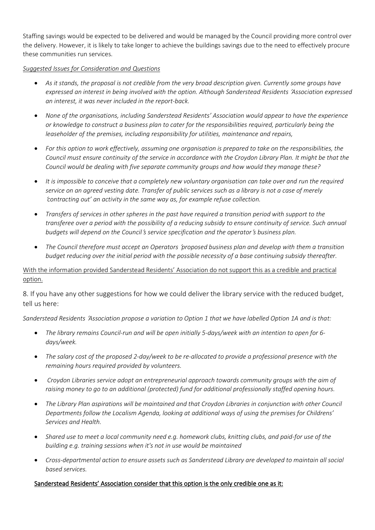Staffing savings would be expected to be delivered and would be managed by the Council providing more control over the delivery. However, it is likely to take longer to achieve the buildings savings due to the need to effectively procure these communities run services.

## *Suggested Issues for Consideration and Questions*

- As it stands, the proposal is not credible from the very broad description given. Currently some groups have *expressed an interest in being involved with the option. Although Sanderstead Residents* '*Association expressed an interest, it was never included in the report-back.*
- *None of the organisations, including Sanderstead Residents' Association would appear to have the experience or knowledge to construct a business plan to cater for the responsibilities required, particularly being the leaseholder of the premises, including responsibility for utilities, maintenance and repairs,*
- For this option to work effectively, assuming one organisation is prepared to take on the responsibilities, the Council must ensure continuity of the service in accordance with the Croydon Library Plan. It might be that the *Council would be dealing with five separate community groups and how would they manage these?*
- It is impossible to conceive that a completely new voluntary organisation can take over and run the required service on an agreed vesting date. Transfer of public services such as a library is not a case of merely '*contracting out' an activity in the same way as, for example refuse collection.*
- Transfers of services in other spheres in the past have required a transition period with support to the transferee over a period with the possibility of a reducing subsidy to ensure continuity of service. Such annual *budgets will depend on the Council*'*s service specification and the operator*'*s business plan.*
- *The Council therefore must accept an Operators* '*proposed business plan and develop with them a transition budget reducing over the initial period with the possible necessity of a base continuing subsidy thereafter.*

With the information provided Sanderstead Residents' Association do not support this as a credible and practical option.

8. If you have any other suggestions for how we could deliver the library service with the reduced budget, tell us here:

Sanderstead Residents 'Association propose a variation to Option 1 that we have labelled Option 1A and is that:

- *The library remains Council-run and will be open initially 5-days/week with an intention to open for 6 days/week.*
- The salary cost of the proposed 2-day/week to be re-allocated to provide a professional presence with the *remaining hours required provided by volunteers.*
- *Croydon Libraries service adopt an entrepreneurial approach towards community groups with the aim of raising money to go to an additional (protected) fund for additional professionally staffed opening hours.*
- *The Library Plan aspirations will be maintained and that Croydon Libraries in conjunction with other Council Departments follow the Localism Agenda, looking at additional ways of using the premises for Childrens' Services and Health.*
- Shared use to meet a local community need e.g. homework clubs, knitting clubs, and paid-for use of the *building e.g. training sessions when it's not in use would be maintained*
- *Cross-departmental action to ensure assets such as Sanderstead Library are developed to maintain all social based services.*

# Sanderstead Residents' Association consider that this option is the only credible one as it: